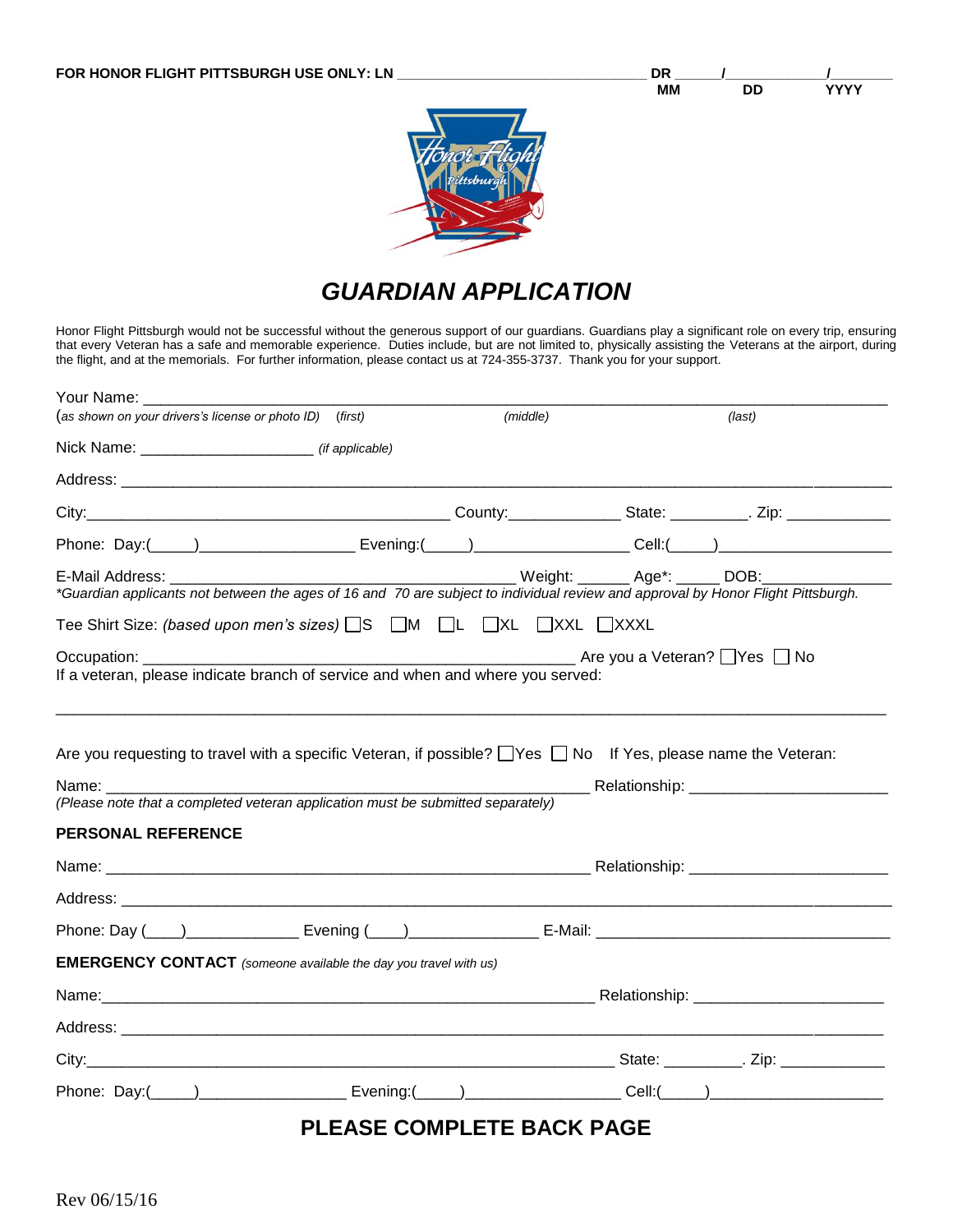

# *GUARDIAN APPLICATION*

Honor Flight Pittsburgh would not be successful without the generous support of our guardians. Guardians play a significant role on every trip, ensuring that every Veteran has a safe and memorable experience. Duties include, but are not limited to, physically assisting the Veterans at the airport, during the flight, and at the memorials. For further information, please contact us at 724-355-3737. Thank you for your support.

| Your Name: The Contract of the Contract of the Contract of the Contract of the Contract of the Contract of the                                                      |                                  |                                             |
|---------------------------------------------------------------------------------------------------------------------------------------------------------------------|----------------------------------|---------------------------------------------|
| (as shown on your drivers's license or photo ID) (first)                                                                                                            | (middle)                         | (last)                                      |
| Nick Name: _________________________________ (if applicable)                                                                                                        |                                  |                                             |
|                                                                                                                                                                     |                                  |                                             |
|                                                                                                                                                                     |                                  |                                             |
|                                                                                                                                                                     |                                  |                                             |
| E-Mail Address: E-Mail Address:<br>*Guardian applicants not between the ages of 16 and 70 are subject to individual review and approval by Honor Flight Pittsburgh. |                                  | ____ Weight: ______ Age*: _____ DOB:__      |
| Tee Shirt Size: (based upon men's sizes) <u>S</u> S M DL DXL DXXL DXXXL                                                                                             |                                  |                                             |
| Occupation: __________<br>If a veteran, please indicate branch of service and when and where you served:                                                            |                                  | Des Die Die Late vou a Veteran? Dies Die No |
| Are you requesting to travel with a specific Veteran, if possible? □Yes □ No If Yes, please name the Veteran:                                                       |                                  |                                             |
| (Please note that a completed veteran application must be submitted separately)                                                                                     |                                  |                                             |
| <b>PERSONAL REFERENCE</b>                                                                                                                                           |                                  |                                             |
|                                                                                                                                                                     |                                  |                                             |
|                                                                                                                                                                     |                                  |                                             |
|                                                                                                                                                                     |                                  |                                             |
| <b>EMERGENCY CONTACT</b> (someone available the day you travel with us)                                                                                             |                                  |                                             |
|                                                                                                                                                                     |                                  |                                             |
|                                                                                                                                                                     |                                  |                                             |
|                                                                                                                                                                     |                                  |                                             |
|                                                                                                                                                                     |                                  |                                             |
|                                                                                                                                                                     | <b>PLEASE COMPLETE BACK PAGE</b> |                                             |